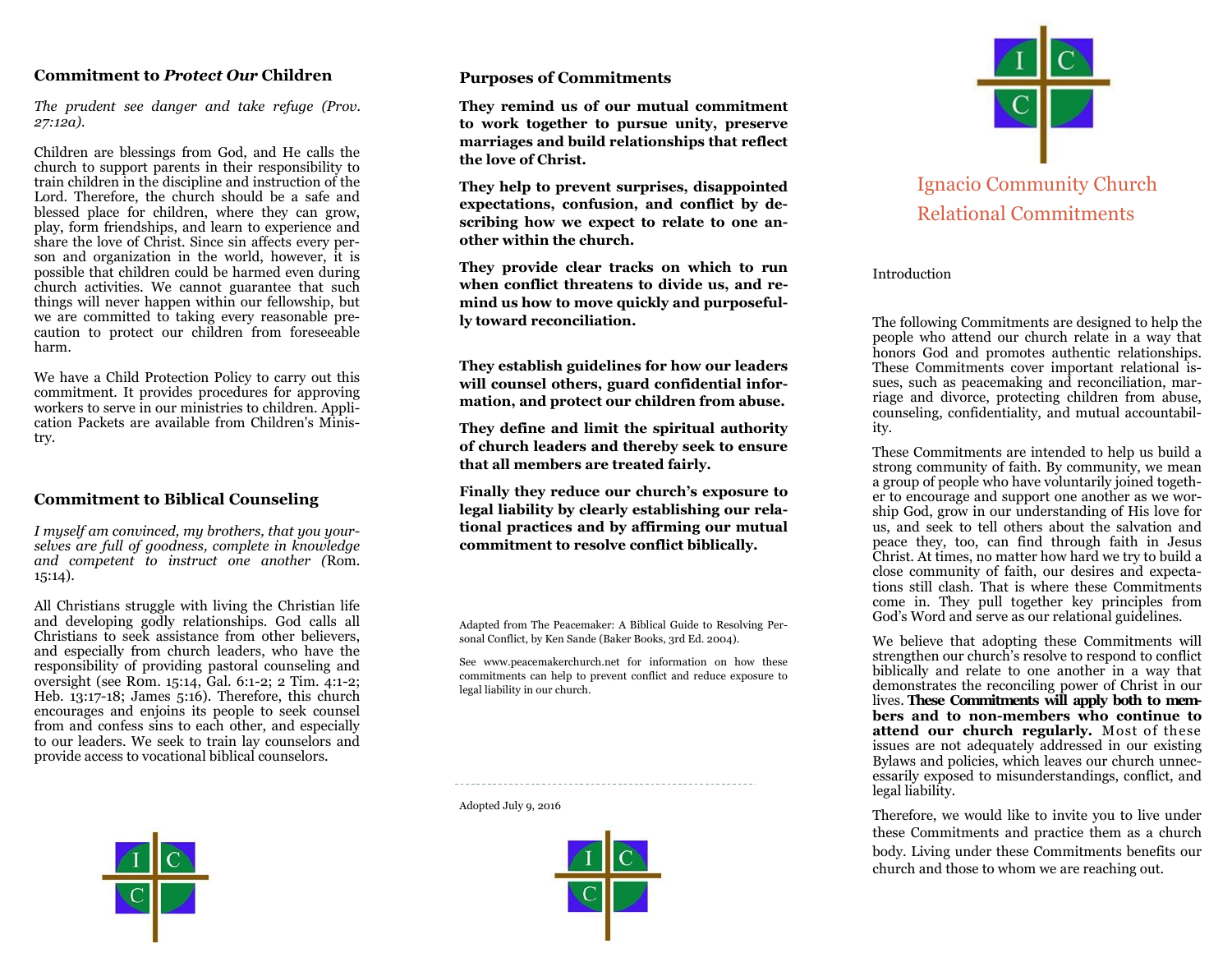# **Commitment to** *Protect Our* **Children**

*The prudent see danger and take refuge (Prov. 27:12a).*

Children are blessings from God, and He calls the church to support parents in their responsibility to train children in the discipline and instruction of the Lord. Therefore, the church should be a safe and blessed place for children, where they can grow, play, form friendships, and learn to experience and share the love of Christ. Since sin affects every person and organization in the world, however, it is possible that children could be harmed even during church activities. We cannot guarantee that such things will never happen within our fellowship, but we are committed to taking every reasonable precaution to protect our children from foreseeable harm.

We have a Child Protection Policy to carry out this commitment. It provides procedures for approving workers to serve in our ministries to children. Application Packets are available from Children's Ministry.

# **Commitment to Biblical Counseling**

*I myself am convinced, my brothers, that you yourselves are full of goodness, complete in knowledge and competent to instruct one another (*Rom. 15:14).

All Christians struggle with living the Christian life and developing godly relationships. God calls all Christians to seek assistance from other believers, and especially from church leaders, who have the responsibility of providing pastoral counseling and oversight (see R0m. 15:14, Gal. 6:1-2; 2 Tim. 4:1-2; Heb. 13:17-18; James 5:16). Therefore, this church encourages and enjoins its people to seek counsel from and confess sins to each other, and especially to our leaders. We seek to train lay counselors and provide access to vocational biblical counselors.



## **Purposes of Commitments**

**They remind us of our mutual commitment to work together to pursue unity, preserve marriages and build relationships that reflect the love of Christ.** 

**They help to prevent surprises, disappointed expectations, confusion, and conflict by describing how we expect to relate to one another within the church.** 

**They provide clear tracks on which to run when conflict threatens to divide us, and remind us how to move quickly and purposefully toward reconciliation.** 

**They establish guidelines for how our leaders will counsel others, guard confidential information, and protect our children from abuse.** 

**They define and limit the spiritual authority of church leaders and thereby seek to ensure that all members are treated fairly.** 

**Finally they reduce our church's exposure to legal liability by clearly establishing our relational practices and by affirming our mutual commitment to resolve conflict biblically.** 

Adapted from The Peacemaker: A Biblical Guide to Resolving Personal Conflict, by Ken Sande (Baker Books, 3rd Ed. 2004).

See www.peacemakerchurch.net for information on how these commitments can help to prevent conflict and reduce exposure to legal liability in our church.

Adopted July 9, 2016





# Ignacio Community Church Relational Commitments

#### Introduction

The following Commitments are designed to help the people who attend our church relate in a way that honors God and promotes authentic relationships. These Commitments cover important relational issues, such as peacemaking and reconciliation, marriage and divorce, protecting children from abuse, counseling, confidentiality, and mutual accountability.

These Commitments are intended to help us build a strong community of faith. By community, we mean a group of people who have voluntarily joined together to encourage and support one another as we worship God, grow in our understanding of His love for us, and seek to tell others about the salvation and peace they, too, can find through faith in Jesus Christ. At times, no matter how hard we try to build a close community of faith, our desires and expectations still clash. That is where these Commitments come in. They pull together key principles from God's Word and serve as our relational guidelines.

We believe that adopting these Commitments will strengthen our church's resolve to respond to conflict biblically and relate to one another in a way that demonstrates the reconciling power of Christ in our lives. **These Commitments will apply both to members and to non-members who continue to attend our church regularly.** Most of these issues are not adequately addressed in our existing Bylaws and policies, which leaves our church unnecessarily exposed to misunderstandings, conflict, and legal liability.

Therefore, we would like to invite you to live under these Commitments and practice them as a church body. Living under these Commitments benefits our church and those to whom we are reaching out.